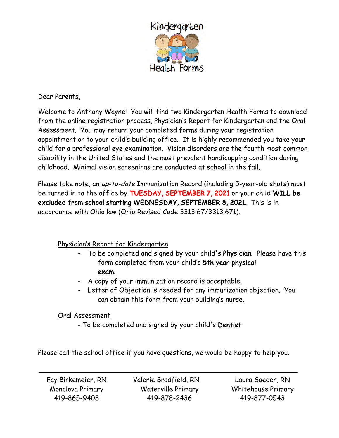

Dear Parents,

Welcome to Anthony Wayne! You will find two Kindergarten Health Forms to download from the online registration process, Physician's Report for Kindergarten and the Oral Assessment. You may return your completed forms during your registration appointment or to your child's building office. It is highly recommended you take your child for a professional eye examination. Vision disorders are the fourth most common disability in the United States and the most prevalent handicapping condition during childhood. Minimal vision screenings are conducted at school in the fall.

Please take note, an up-to-date Immunization Record (including 5-year-old shots) must be turned in to the office by TUESDAY, SEPTEMBER 7, 2021 or your child WILL be excluded from school starting WEDNESDAY, SEPTEMBER 8, 2021. This is in accordance with Ohio law (Ohio Revised Code 3313.67/3313.671).

### Physician's Report for Kindergarten

- To be completed and signed by your child's Physician. Please have this form completed from your child's 5th year physical exam.
- A copy of your immunization record is acceptable.
- Letter of Objection is needed for any immunization objection. You can obtain this form from your building's nurse.

### Oral Assessment

- To be completed and signed by your child's Dentist

Please call the school office if you have questions, we would be happy to help you.

Fay Birkemeier, RN Monclova Primary 419-865-9408

Valerie Bradfield, RN Waterville Primary 419-878-2436

Laura Soeder, RN Whitehouse Primary 419-877-0543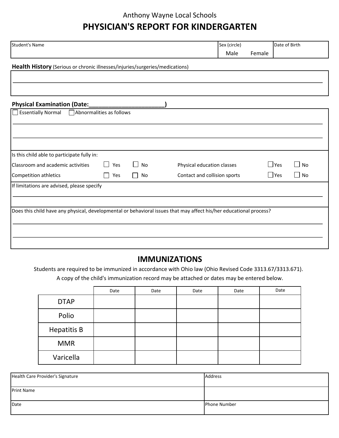### Anthony Wayne Local Schools

# **PHYSICIAN'S REPORT FOR KINDERGARTEN**

| <b>Student's Name</b>                                                        |                          |           | Sex (circle)                                                                                                       |        |            | Date of Birth |  |
|------------------------------------------------------------------------------|--------------------------|-----------|--------------------------------------------------------------------------------------------------------------------|--------|------------|---------------|--|
|                                                                              |                          |           | Male                                                                                                               | Female |            |               |  |
| Health History (Serious or chronic illnesses/injuries/surgeries/medications) |                          |           |                                                                                                                    |        |            |               |  |
|                                                                              |                          |           |                                                                                                                    |        |            |               |  |
|                                                                              |                          |           |                                                                                                                    |        |            |               |  |
|                                                                              |                          |           |                                                                                                                    |        |            |               |  |
|                                                                              |                          |           |                                                                                                                    |        |            |               |  |
| Essentially Normal                                                           | Abnormalities as follows |           |                                                                                                                    |        |            |               |  |
|                                                                              |                          |           |                                                                                                                    |        |            |               |  |
|                                                                              |                          |           |                                                                                                                    |        |            |               |  |
|                                                                              |                          |           |                                                                                                                    |        |            |               |  |
|                                                                              |                          |           |                                                                                                                    |        |            |               |  |
| Is this child able to participate fully in:                                  |                          |           |                                                                                                                    |        |            |               |  |
| Classroom and academic activities                                            | Yes<br>$\perp$           | $\Box$ No | Physical education classes                                                                                         |        | $\Box$ Yes | $\square$ No  |  |
| Competition athletics                                                        | Yes<br>$\perp$           | $\Box$ No | Contact and collision sports                                                                                       |        | $\Box$ Yes | $\Box$ No     |  |
| If limitations are advised, please specify                                   |                          |           |                                                                                                                    |        |            |               |  |
|                                                                              |                          |           |                                                                                                                    |        |            |               |  |
|                                                                              |                          |           |                                                                                                                    |        |            |               |  |
|                                                                              |                          |           | Does this child have any physical, developmental or behavioral issues that may affect his/her educational process? |        |            |               |  |
|                                                                              |                          |           |                                                                                                                    |        |            |               |  |
|                                                                              |                          |           |                                                                                                                    |        |            |               |  |
|                                                                              |                          |           |                                                                                                                    |        |            |               |  |
|                                                                              |                          |           |                                                                                                                    |        |            |               |  |

## **IMMUNIZATIONS**

A copy of the child's immunization record may be attached or dates may be entered below. Students are required to be immunized in accordance with Ohio law (Ohio Revised Code 3313.67/3313.671).

|                    | Date | Date | Date | Date | Date |
|--------------------|------|------|------|------|------|
| <b>DTAP</b>        |      |      |      |      |      |
| Polio              |      |      |      |      |      |
| <b>Hepatitis B</b> |      |      |      |      |      |
| <b>MMR</b>         |      |      |      |      |      |
| Varicella          |      |      |      |      |      |

| Health Care Provider's Signature | Address             |
|----------------------------------|---------------------|
| <b>Print Name</b>                |                     |
| Date                             | <b>Phone Number</b> |